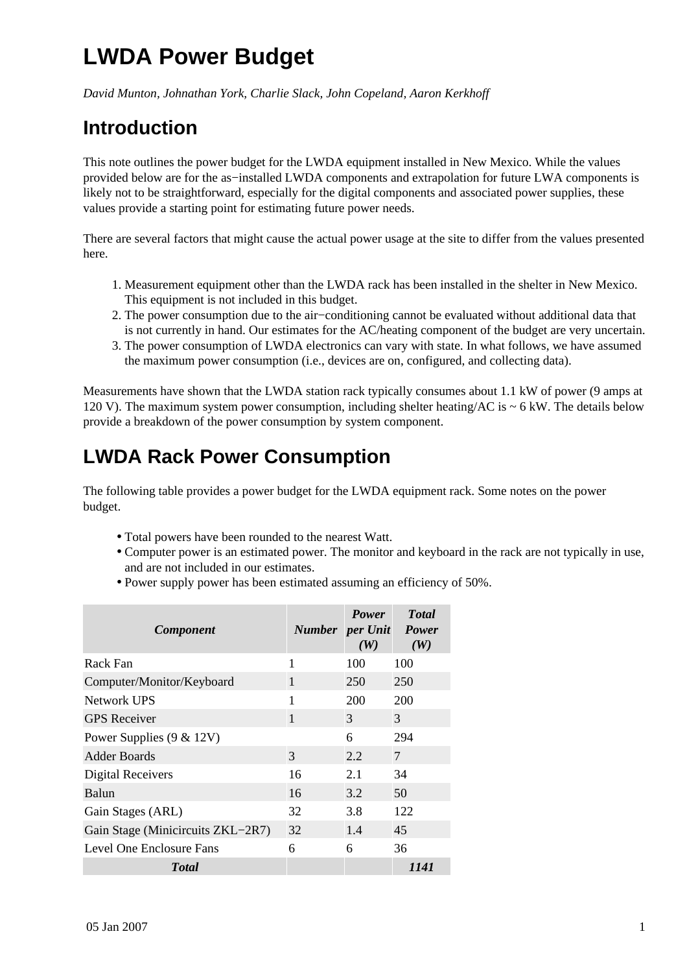## **LWDA Power Budget**

*David Munton, Johnathan York, Charlie Slack, John Copeland, Aaron Kerkhoff*

## **Introduction**

This note outlines the power budget for the LWDA equipment installed in New Mexico. While the values provided below are for the as−installed LWDA components and extrapolation for future LWA components is likely not to be straightforward, especially for the digital components and associated power supplies, these values provide a starting point for estimating future power needs.

There are several factors that might cause the actual power usage at the site to differ from the values presented here.

- 1. Measurement equipment other than the LWDA rack has been installed in the shelter in New Mexico. This equipment is not included in this budget.
- 2. The power consumption due to the air-conditioning cannot be evaluated without additional data that is not currently in hand. Our estimates for the AC/heating component of the budget are very uncertain.
- 3. The power consumption of LWDA electronics can vary with state. In what follows, we have assumed the maximum power consumption (i.e., devices are on, configured, and collecting data).

Measurements have shown that the LWDA station rack typically consumes about 1.1 kW of power (9 amps at 120 V). The maximum system power consumption, including shelter heating/AC is  $\sim$  6 kW. The details below provide a breakdown of the power consumption by system component.

## **LWDA Rack Power Consumption**

The following table provides a power budget for the LWDA equipment rack. Some notes on the power budget.

- Total powers have been rounded to the nearest Watt.
- Computer power is an estimated power. The monitor and keyboard in the rack are not typically in use, and are not included in our estimates.
- Power supply power has been estimated assuming an efficiency of 50%.

| <b>Component</b>                  | <b>Number</b> per Unit Power | <b>Power</b><br>(W) | <b>Total</b><br>(W) |
|-----------------------------------|------------------------------|---------------------|---------------------|
| Rack Fan                          | 1                            | 100                 | 100                 |
| Computer/Monitor/Keyboard         | 1                            | 250                 | 250                 |
| Network UPS                       | 1                            | 200                 | 200                 |
| <b>GPS</b> Receiver               | 1                            | 3                   | 3                   |
| Power Supplies $(9 \& 12V)$       |                              | 6                   | 294                 |
| Adder Boards                      | 3                            | 2.2                 | 7                   |
| Digital Receivers                 | 16                           | 2.1                 | 34                  |
| Balun                             | 16                           | 3.2                 | 50                  |
| Gain Stages (ARL)                 | 32                           | 3.8                 | 122                 |
| Gain Stage (Minicircuits ZKL–2R7) | 32                           | 1.4                 | 45                  |
| Level One Enclosure Fans          | 6                            | 6                   | 36                  |
| <b>Total</b>                      |                              |                     | 1141                |